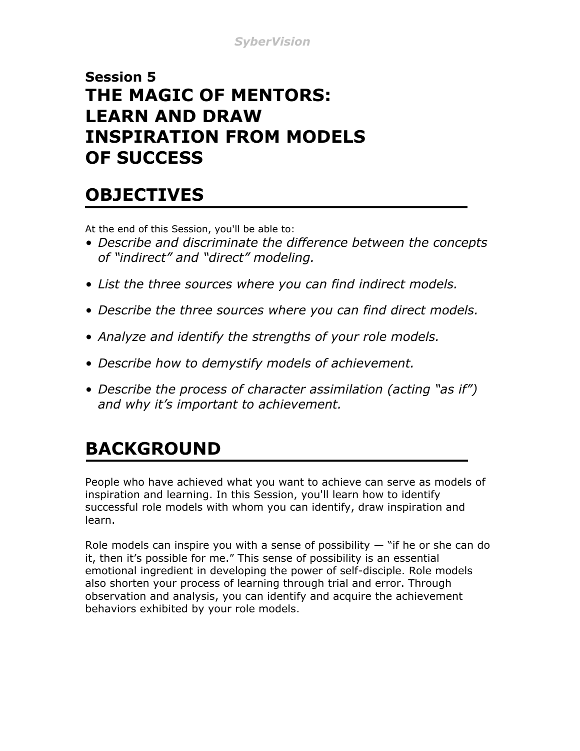#### **Session 5 THE MAGIC OF MENTORS: LEARN AND DRAW INSPIRATION FROM MODELS OF SUCCESS**

#### **OBJECTIVES**

At the end of this Session, you'll be able to:

- *Describe and discriminate the difference between the concepts of "indirect" and "direct" modeling.*
- *List the three sources where you can find indirect models.*
- *Describe the three sources where you can find direct models.*
- *Analyze and identify the strengths of your role models.*
- *Describe how to demystify models of achievement.*
- *Describe the process of character assimilation (acting "as if") and why it's important to achievement.*

# **BACKGROUND**

People who have achieved what you want to achieve can serve as models of inspiration and learning. In this Session, you'll learn how to identify successful role models with whom you can identify, draw inspiration and learn.

Role models can inspire you with a sense of possibility  $-$  "if he or she can do it, then it's possible for me." This sense of possibility is an essential emotional ingredient in developing the power of self-disciple. Role models also shorten your process of learning through trial and error. Through observation and analysis, you can identify and acquire the achievement behaviors exhibited by your role models.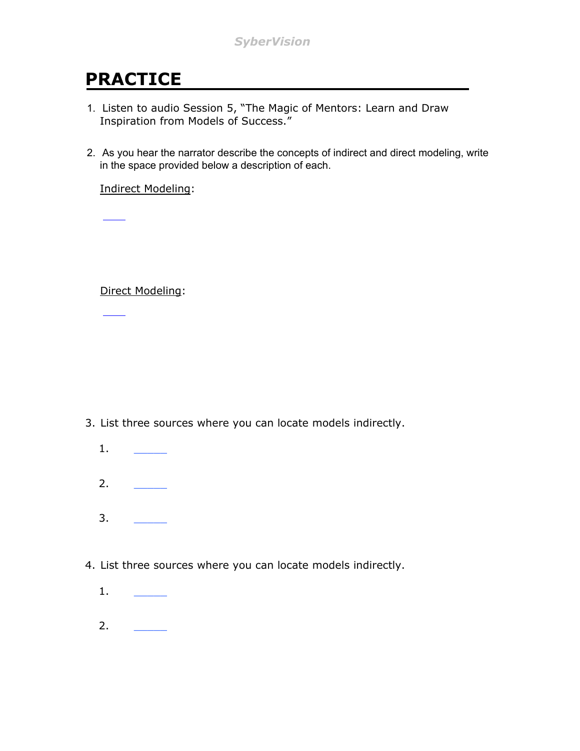## **PRACTICE**

- 1. Listen to audio Session 5, "The Magic of Mentors: Learn and Draw Inspiration from Models of Success."
- 2. As you hear the narrator describe the concepts of indirect and direct modeling, write in the space provided below a description of each.

Indirect Modeling:

Direct Modeling:

- 3. List three sources where you can locate models indirectly.
	- 1. \_\_\_\_\_ 2. \_\_\_\_\_
	- 3. \_\_\_\_\_
- 4. List three sources where you can locate models indirectly.
	- 1. \_\_\_\_\_
	- 2. \_\_\_\_\_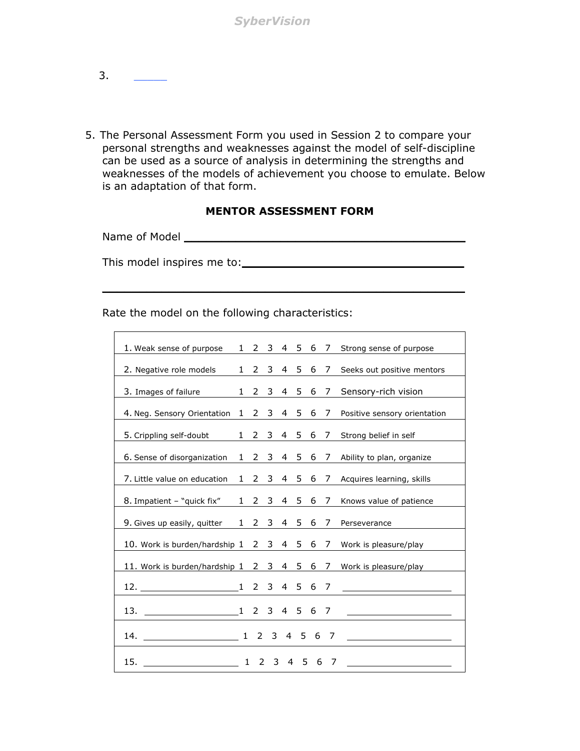- $3.$
- 5. The Personal Assessment Form you used in Session 2 to compare your personal strengths and weaknesses against the model of self-discipline can be used as a source of analysis in determining the strengths and weaknesses of the models of achievement you choose to emulate. Below is an adaptation of that form.

#### **MENTOR ASSESSMENT FORM**

**\_\_\_\_\_\_\_\_\_\_\_\_\_\_\_\_\_\_\_\_\_\_\_\_\_\_\_\_\_\_\_\_\_\_\_\_\_\_\_\_\_\_\_\_\_\_\_\_\_**

Name of Model **\_\_\_\_\_\_\_\_\_\_\_\_\_\_\_\_\_\_\_\_\_\_\_\_\_\_\_\_\_\_\_\_\_\_\_\_\_\_**

This model inspires me to:**\_\_\_\_\_\_\_\_\_\_\_\_\_\_\_\_\_\_\_\_\_\_\_\_\_\_\_\_\_\_**

Rate the model on the following characteristics:

| 1. Weak sense of purpose                  |              | 1 2 3 4 5 6 7 |                |                |           |   |                | Strong sense of purpose                 |
|-------------------------------------------|--------------|---------------|----------------|----------------|-----------|---|----------------|-----------------------------------------|
| 2. Negative role models                   |              | $1\quad 2$    |                |                | 3 4 5 6   |   | $\overline{7}$ | Seeks out positive mentors              |
| 3. Images of failure                      | $\mathbf{1}$ | 2             | 3              | 4              | 5         | 6 | 7              | Sensory-rich vision                     |
| 4. Neg. Sensory Orientation               |              | 1 2 3 4 5 6 7 |                |                |           |   |                | Positive sensory orientation            |
| 5. Crippling self-doubt                   |              | 1 2 3         |                |                | 4 5 6 7   |   |                | Strong belief in self                   |
| 6. Sense of disorganization               |              | 1 2 3 4 5 6 7 |                |                |           |   |                | Ability to plan, organize               |
| 7. Little value on education              |              | 1 2           |                |                | 3 4 5 6 7 |   |                | Acquires learning, skills               |
| 8. Impatient - "quick fix"                |              | 1 2 3 4 5 6 7 |                |                |           |   |                | Knows value of patience                 |
| 9. Gives up easily, quitter               |              | 1 2 3 4 5 6   |                |                |           |   | $\overline{7}$ | Perseverance                            |
| 10. Work is burden/hardship 1 2 3 4 5 6   |              |               |                |                |           |   | 7              | Work is pleasure/play                   |
| 11. Work is burden/hardship 1 2 3 4 5 6 7 |              |               |                |                |           |   |                | Work is pleasure/play                   |
|                                           |              |               |                |                |           |   |                | <u> 1989 - Johann Barbara, martin a</u> |
|                                           |              |               |                |                |           |   |                |                                         |
| 14. 1 2 3 4 5 6 7                         |              |               |                |                |           |   |                |                                         |
| 15.                                       | 1            |               | 2 <sub>3</sub> | $\overline{4}$ | .5        | 6 | 7              |                                         |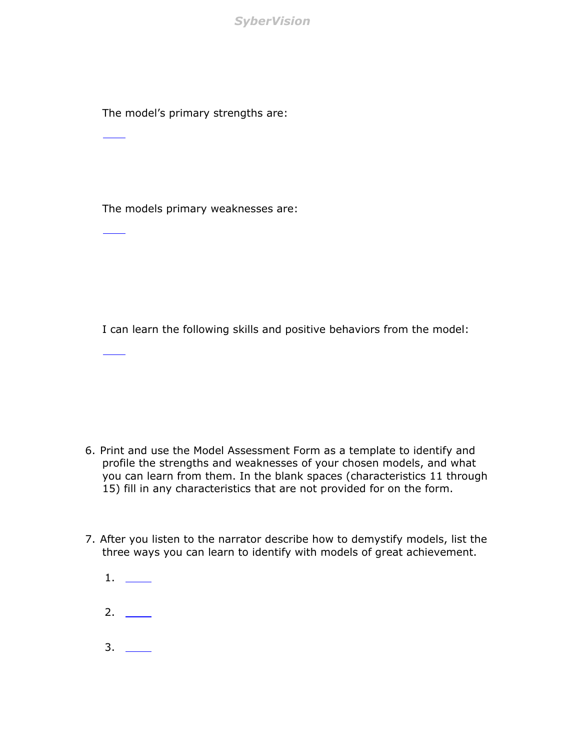*SyberVision*

The model's primary strengths are:

The models primary weaknesses are:

I can learn the following skills and positive behaviors from the model:

- 6. Print and use the Model Assessment Form as a template to identify and profile the strengths and weaknesses of your chosen models, and what you can learn from them. In the blank spaces (characteristics 11 through 15) fill in any characteristics that are not provided for on the form.
- 7. After you listen to the narrator describe how to demystify models, list the three ways you can learn to identify with models of great achievement.
	- 1. 2.  $\qquad$
	- $3. \_$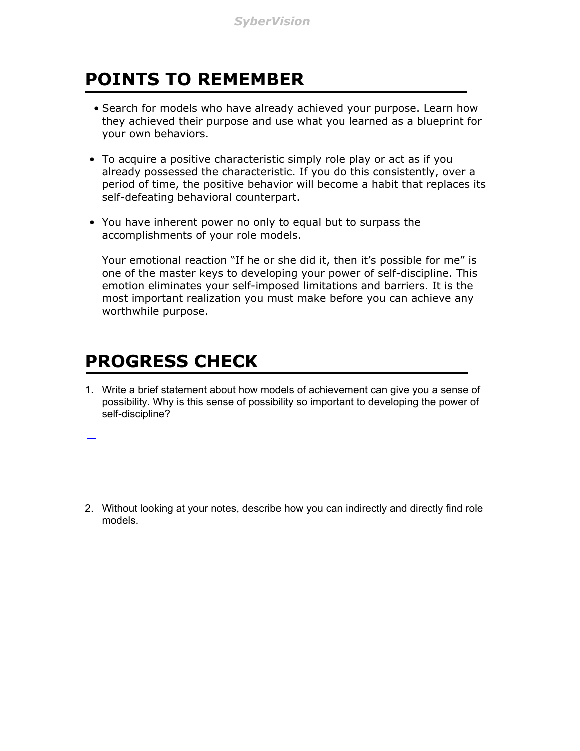## **POINTS TO REMEMBER**

- Search for models who have already achieved your purpose. Learn how they achieved their purpose and use what you learned as a blueprint for your own behaviors.
- To acquire a positive characteristic simply role play or act as if you already possessed the characteristic. If you do this consistently, over a period of time, the positive behavior will become a habit that replaces its self-defeating behavioral counterpart.
- You have inherent power no only to equal but to surpass the accomplishments of your role models.

Your emotional reaction "If he or she did it, then it's possible for me" is one of the master keys to developing your power of self-discipline. This emotion eliminates your self-imposed limitations and barriers. It is the most important realization you must make before you can achieve any worthwhile purpose.

#### **PROGRESS CHECK**

1. Write a brief statement about how models of achievement can give you a sense of possibility. Why is this sense of possibility so important to developing the power of self-discipline?

2. Without looking at your notes, describe how you can indirectly and directly find role models.